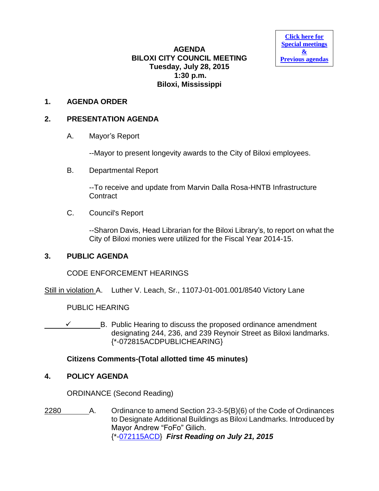**AGENDA BILOXI CITY COUNCIL MEETING Tuesday, July 28, 2015 1:30 p.m. Biloxi, Mississippi**

**[Click here for](http://www.biloxi.ms.us/category/agendas-city-council/) [Special meetings](http://www.biloxi.ms.us/category/agendas-city-council/) [&](http://www.biloxi.ms.us/category/agendas-city-council/) [Previous agendas](http://www.biloxi.ms.us/category/agendas-city-council/)**

### **1. AGENDA ORDER**

#### **2. PRESENTATION AGENDA**

A. Mayor's Report

--Mayor to present longevity awards to the City of Biloxi employees.

B. Departmental Report

--To receive and update from Marvin Dalla Rosa-HNTB Infrastructure **Contract** 

C. Council's Report

--Sharon Davis, Head Librarian for the Biloxi Library's, to report on what the City of Biloxi monies were utilized for the Fiscal Year 2014-15.

#### **3. PUBLIC AGENDA**

CODE ENFORCEMENT HEARINGS

Still in violation A. Luther V. Leach, Sr., 1107J-01-001.001/8540 Victory Lane

PUBLIC HEARING

\_\_\_\_\_\_\_\_\_\_\_\_B. Public Hearing to discuss the proposed ordinance amendment designating 244, 236, and 239 Reynoir Street as Biloxi landmarks. {\*-072815ACDPUBLICHEARING}

### **Citizens Comments-(Total allotted time 45 minutes)**

### **4. POLICY AGENDA**

ORDINANCE (Second Reading)

2280 A. Ordinance to amend Section 23-3-5(B)(6) of the Code of Ordinances to Designate Additional Buildings as Biloxi Landmarks. Introduced by Mayor Andrew "FoFo" Gilich. {\*[-072115ACD}](http://www.biloxi.ms.us/agendas/citycouncil/2015/072815/072115acd.pdf) *First Reading on July 21, 2015*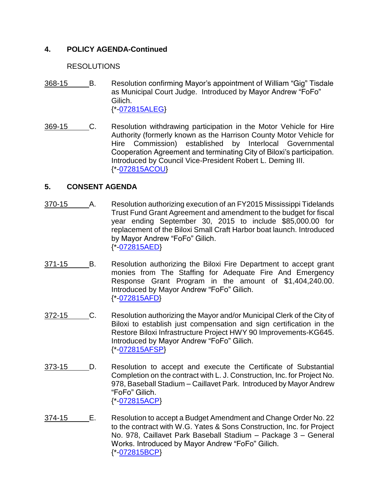# **4. POLICY AGENDA-Continued**

### RESOLUTIONS

- 368-15 B. Resolution confirming Mayor's appointment of William "Gig" Tisdale as Municipal Court Judge. Introduced by Mayor Andrew "FoFo" Gilich. {\*[-072815ALEG}](http://www.biloxi.ms.us/agendas/citycouncil/2015/072815/072815aleg.pdf)
- 369-15 C. Resolution withdrawing participation in the Motor Vehicle for Hire Authority (formerly known as the Harrison County Motor Vehicle for Hire Commission) established by Interlocal Governmental Cooperation Agreement and terminating City of Biloxi's participation. Introduced by Council Vice-President Robert L. Deming III. {\*[-072815ACOU}](http://www.biloxi.ms.us/agendas/citycouncil/2015/072815/072815acou.pdf)

## **5. CONSENT AGENDA**

- 370-15 \_\_\_\_\_\_\_ A. Resolution authorizing execution of an FY2015 Mississippi Tidelands Trust Fund Grant Agreement and amendment to the budget for fiscal year ending September 30, 2015 to include \$85,000.00 for replacement of the Biloxi Small Craft Harbor boat launch. Introduced by Mayor Andrew "FoFo" Gilich. {\*[-072815AED}](http://www.biloxi.ms.us/agendas/citycouncil/2015/072815/072815aed.pdf)
- 371-15 B. Resolution authorizing the Biloxi Fire Department to accept grant monies from The Staffing for Adequate Fire And Emergency Response Grant Program in the amount of \$1,404,240.00. Introduced by Mayor Andrew "FoFo" Gilich. {\*[-072815AFD}](http://www.biloxi.ms.us/agendas/citycouncil/2015/072815/072815afd.pdf)
- 372-15 C. Resolution authorizing the Mayor and/or Municipal Clerk of the City of Biloxi to establish just compensation and sign certification in the Restore Biloxi Infrastructure Project HWY 90 Improvements-KG645. Introduced by Mayor Andrew "FoFo" Gilich. {\*[-072815AFSP}](http://www.biloxi.ms.us/agendas/citycouncil/2015/072815/072815afsp.pdf)
- 373-15 D. Resolution to accept and execute the Certificate of Substantial Completion on the contract with L. J. Construction, Inc. for Project No. 978, Baseball Stadium – Caillavet Park. Introduced by Mayor Andrew "FoFo" Gilich. {\*[-072815ACP}](http://www.biloxi.ms.us/agendas/citycouncil/2015/072815/072815acp.pdf)
- 374-15 E. Resolution to accept a Budget Amendment and Change Order No. 22 to the contract with W.G. Yates & Sons Construction, Inc. for Project No. 978, Caillavet Park Baseball Stadium – Package 3 – General Works. Introduced by Mayor Andrew "FoFo" Gilich. {\*[-072815BCP}](http://www.biloxi.ms.us/agendas/citycouncil/2015/072815/072815bcp.pdf)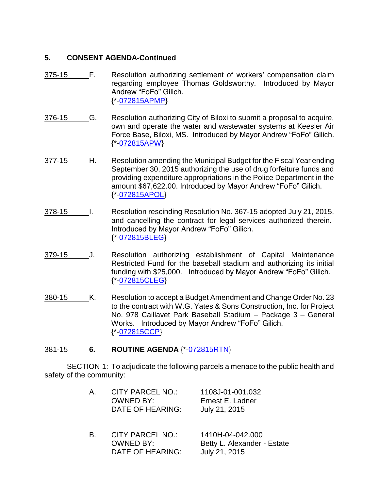## **5. CONSENT AGENDA-Continued**

- 375-15 F. Resolution authorizing settlement of workers' compensation claim regarding employee Thomas Goldsworthy. Introduced by Mayor Andrew "FoFo" Gilich. {\*[-072815APMP}](http://www.biloxi.ms.us/agendas/citycouncil/2015/072815/072815apmp.pdf)
- 376-15 G. Resolution authorizing City of Biloxi to submit a proposal to acquire, own and operate the water and wastewater systems at Keesler Air Force Base, Biloxi, MS. Introduced by Mayor Andrew "FoFo" Gilich. {\*[-072815APW}](http://www.biloxi.ms.us/agendas/citycouncil/2015/072815/072815apw.pdf)
- 377-15 H. Resolution amending the Municipal Budget for the Fiscal Year ending September 30, 2015 authorizing the use of drug forfeiture funds and providing expenditure appropriations in the Police Department in the amount \$67,622.00. Introduced by Mayor Andrew "FoFo" Gilich. {\*[-072815APOL}](http://www.biloxi.ms.us/agendas/citycouncil/2015/072815/072815apol.pdf)
- 378-15 I. Resolution rescinding Resolution No. 367-15 adopted July 21, 2015, and cancelling the contract for legal services authorized therein. Introduced by Mayor Andrew "FoFo" Gilich. {\*[-072815BLEG}](http://www.biloxi.ms.us/agendas/citycouncil/2015/072815/072815bleg.pdf)
- 379-15 J. Resolution authorizing establishment of Capital Maintenance Restricted Fund for the baseball stadium and authorizing its initial funding with \$25,000. Introduced by Mayor Andrew "FoFo" Gilich. {\*[-072815CLEG}](http://www.biloxi.ms.us/agendas/citycouncil/2015/072815/072815cleg.pdf)
- 380-15 K. Resolution to accept a Budget Amendment and Change Order No. 23 to the contract with W.G. Yates & Sons Construction, Inc. for Project No. 978 Caillavet Park Baseball Stadium – Package 3 – General Works. Introduced by Mayor Andrew "FoFo" Gilich. {\*[-072815CCP}](http://www.biloxi.ms.us/agendas/citycouncil/2015/072815/072815ccp.pdf)

### 381-15 **6. ROUTINE AGENDA** {\*[-072815RTN}](http://www.biloxi.ms.us/agendas/citycouncil/2015/072815/072815rtn.pdf)

SECTION 1: To adjudicate the following parcels a menace to the public health and safety of the community:

| A. | <b>CITY PARCEL NO.:</b><br><b>OWNED BY:</b><br>DATE OF HEARING: | 1108J-01-001.032<br>Ernest E. Ladner<br>July 21, 2015            |
|----|-----------------------------------------------------------------|------------------------------------------------------------------|
| B. | <b>CITY PARCEL NO.:</b><br><b>OWNED BY:</b><br>DATE OF HEARING: | 1410H-04-042.000<br>Betty L. Alexander - Estate<br>July 21, 2015 |